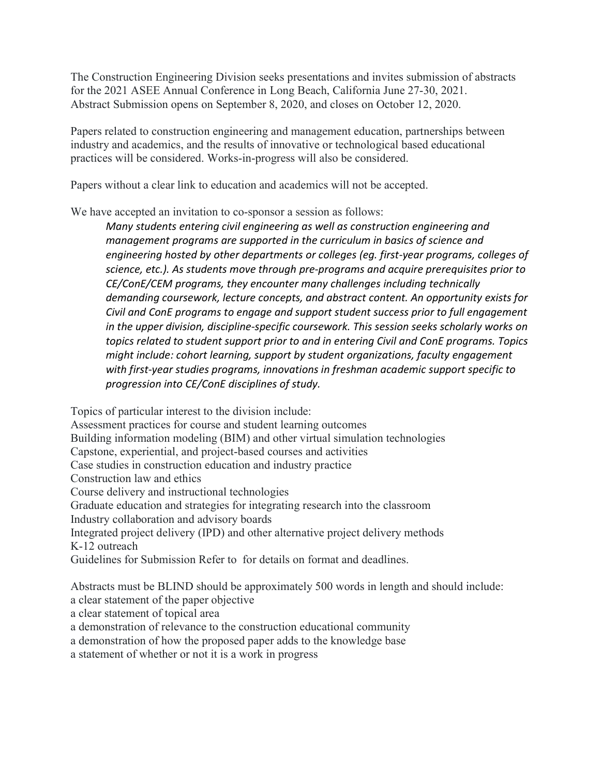The Construction Engineering Division seeks presentations and invites submission of abstracts for the 2021 ASEE Annual Conference in Long Beach, California June 27-30, 2021. Abstract Submission opens on September 8, 2020, and closes on October 12, 2020.

Papers related to construction engineering and management education, partnerships between industry and academics, and the results of innovative or technological based educational practices will be considered. Works-in-progress will also be considered.

Papers without a clear link to education and academics will not be accepted.

We have accepted an invitation to co-sponsor a session as follows:

Many students entering civil engineering as well as construction engineering and management programs are supported in the curriculum in basics of science and engineering hosted by other departments or colleges (eg. first-year programs, colleges of science, etc.). As students move through pre-programs and acquire prerequisites prior to CE/ConE/CEM programs, they encounter many challenges including technically demanding coursework, lecture concepts, and abstract content. An opportunity exists for Civil and ConE programs to engage and support student success prior to full engagement in the upper division, discipline-specific coursework. This session seeks scholarly works on topics related to student support prior to and in entering Civil and ConE programs. Topics might include: cohort learning, support by student organizations, faculty engagement with first-year studies programs, innovations in freshman academic support specific to progression into CE/ConE disciplines of study.

Topics of particular interest to the division include: Assessment practices for course and student learning outcomes Building information modeling (BIM) and other virtual simulation technologies Capstone, experiential, and project-based courses and activities Case studies in construction education and industry practice Construction law and ethics Course delivery and instructional technologies Graduate education and strategies for integrating research into the classroom Industry collaboration and advisory boards Integrated project delivery (IPD) and other alternative project delivery methods K-12 outreach Guidelines for Submission Refer to for details on format and deadlines. Abstracts must be BLIND should be approximately 500 words in length and should include:

a clear statement of the paper objective

a clear statement of topical area

a demonstration of relevance to the construction educational community

a demonstration of how the proposed paper adds to the knowledge base

a statement of whether or not it is a work in progress